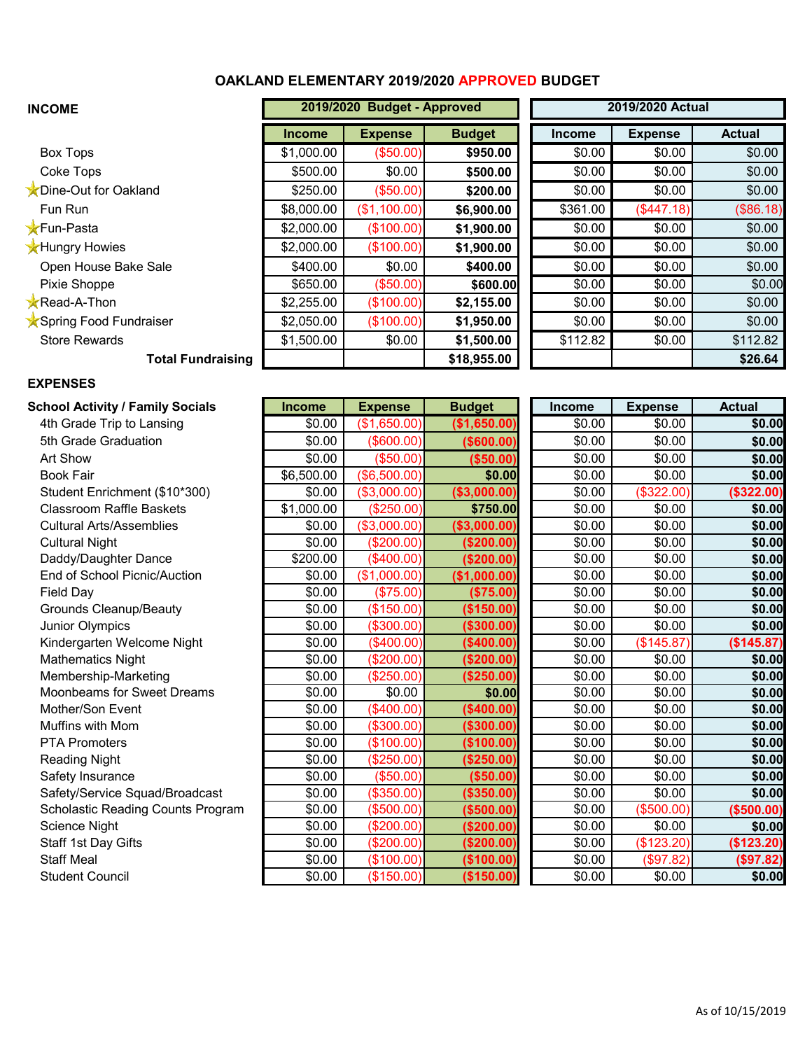## **OAKLAND ELEMENTARY 2019/2020 APPROVED BUDGET**

| <b>INCOME</b>            |               | 2019/2020 Budget - Approved |               |               |                | 2019/2020 Actual |  |
|--------------------------|---------------|-----------------------------|---------------|---------------|----------------|------------------|--|
|                          | <b>Income</b> | <b>Expense</b>              | <b>Budget</b> | <b>Income</b> | <b>Expense</b> | <b>Actual</b>    |  |
| Box Tops                 | \$1,000.00    | (\$50.00)                   | \$950.00      | \$0.00        | \$0.00         | \$0.00           |  |
| Coke Tops                | \$500.00      | \$0.00                      | \$500.00      | \$0.00        | \$0.00         | \$0.00           |  |
| Dine-Out for Oakland     | \$250.00      | (\$50.00)                   | \$200.00      | \$0.00        | \$0.00         | \$0.00           |  |
| Fun Run                  | \$8,000.00    | (\$1,100.00)                | \$6,900.00    | \$361.00      | (\$447.18)     | (\$86.18)        |  |
| <b>X</b> Fun-Pasta       | \$2,000.00    | (\$100.00)                  | \$1,900.00    | \$0.00        | \$0.00         | \$0.00           |  |
| <b>X</b> Hungry Howies   | \$2,000.00    | (\$100.00)                  | \$1,900.00    | \$0.00        | \$0.00         | \$0.00           |  |
| Open House Bake Sale     | \$400.00      | \$0.00                      | \$400.00      | \$0.00        | \$0.00         | \$0.00           |  |
| Pixie Shoppe             | \$650.00      | (\$50.00)                   | \$600.00      | \$0.00        | \$0.00         | \$0.00           |  |
| <b>Read-A-Thon</b>       | \$2,255.00    | (\$100.00)                  | \$2,155.00    | \$0.00        | \$0.00         | \$0.00           |  |
| Spring Food Fundraiser   | \$2,050.00    | (\$100.00)                  | \$1,950.00    | \$0.00        | \$0.00         | \$0.00           |  |
| <b>Store Rewards</b>     | \$1,500.00    | \$0.00                      | \$1,500.00    | \$112.82      | \$0.00         | \$112.82         |  |
| <b>Total Fundraising</b> |               |                             | \$18,955.00   |               |                | \$26.64          |  |

## **EXPENSES**

| School Activity / Family Socials         | <b>Income</b> | <b>Expense</b> | <b>Budget</b> | <b>Income</b> | <b>Expense</b> | <b>Actual</b> |
|------------------------------------------|---------------|----------------|---------------|---------------|----------------|---------------|
| 4th Grade Trip to Lansing                | \$0.00        | (\$1,650.00)   | (\$1,650.00)  | \$0.00        | \$0.00         | \$0.00        |
| 5th Grade Graduation                     | \$0.00        | $($ \$600.00)  | ( \$600.00)   | \$0.00        | \$0.00         | \$0.00        |
| Art Show                                 | \$0.00        | (\$50.00)      | (\$50.00)     | \$0.00        | \$0.00         | \$0.00        |
| <b>Book Fair</b>                         | \$6,500.00    | (\$6,500.00)   | \$0.00        | \$0.00        | \$0.00         | \$0.00        |
| Student Enrichment (\$10*300)            | \$0.00        | (\$3,000.00)   | (\$3,000.00)  | \$0.00        | (\$322.00)     | (\$322.00)    |
| <b>Classroom Raffle Baskets</b>          | \$1,000.00    | (\$250.00)     | \$750.00      | \$0.00        | \$0.00         | \$0.00        |
| <b>Cultural Arts/Assemblies</b>          | \$0.00        | (\$3,000.00)   | ( \$3,000.00) | \$0.00        | \$0.00         | \$0.00        |
| <b>Cultural Night</b>                    | \$0.00        | (\$200.00)     | (\$200.00)    | \$0.00        | \$0.00         | \$0.00        |
| Daddy/Daughter Dance                     | \$200.00      | (\$400.00)     | (\$200.00)    | \$0.00        | \$0.00         | \$0.00        |
| End of School Picnic/Auction             | \$0.00        | (\$1,000.00)   | (\$1,000.00)  | \$0.00        | \$0.00         | \$0.00        |
| Field Day                                | \$0.00        | (\$75.00)      | (\$75.00)     | \$0.00        | \$0.00         | \$0.00        |
| <b>Grounds Cleanup/Beauty</b>            | \$0.00        | (\$150.00)     | (\$150.00)    | \$0.00        | \$0.00         | \$0.00        |
| <b>Junior Olympics</b>                   | \$0.00        | (\$300.00)     | ( \$300.00)   | \$0.00        | \$0.00         | \$0.00        |
| Kindergarten Welcome Night               | \$0.00        | (\$400.00)     | (\$400.00)    | \$0.00        | (\$145.87)     | (\$145.87)    |
| <b>Mathematics Night</b>                 | \$0.00        | (\$200.00)     | (\$200.00)    | \$0.00        | \$0.00         | \$0.00        |
| Membership-Marketing                     | \$0.00        | (\$250.00)     | (\$250.00)    | \$0.00        | \$0.00         | \$0.00        |
| Moonbeams for Sweet Dreams               | \$0.00        | \$0.00         | \$0.00        | \$0.00        | \$0.00         | \$0.00        |
| Mother/Son Event                         | \$0.00        | (\$400.00)     | (\$400.00)    | \$0.00        | \$0.00         | \$0.00        |
| Muffins with Mom                         | \$0.00        | (\$300.00)     | (\$300.00)    | \$0.00        | \$0.00         | \$0.00        |
| <b>PTA Promoters</b>                     | \$0.00        | (\$100.00)     | (\$100.00)    | \$0.00        | \$0.00         | \$0.00        |
| <b>Reading Night</b>                     | \$0.00        | (\$250.00)     | (\$250.00)    | \$0.00        | \$0.00         | \$0.00        |
| Safety Insurance                         | \$0.00        | (\$50.00)      | (\$50.00)     | \$0.00        | \$0.00         | \$0.00        |
| Safety/Service Squad/Broadcast           | \$0.00        | (\$350.00)     | (\$350.00)    | \$0.00        | \$0.00         | \$0.00        |
| <b>Scholastic Reading Counts Program</b> | \$0.00        | (\$500.00)     | (\$500.00)    | \$0.00        | (\$500.00)     | (\$500.00)    |
| <b>Science Night</b>                     | \$0.00        | (\$200.00)     | (\$200.00)    | \$0.00        | \$0.00         | \$0.00        |
| Staff 1st Day Gifts                      | \$0.00        | (\$200.00)     | (\$200.00)    | \$0.00        | (\$123.20)     | (\$123.20)    |
| <b>Staff Meal</b>                        | \$0.00        | (\$100.00)     | (\$100.00)    | \$0.00        | (\$97.82)      | (\$97.82)     |
| <b>Student Council</b>                   | \$0.00        | (\$150.00)     | (\$150.00)    | \$0.00        | \$0.00         | \$0.00        |

|                   | Income | <b>Expense</b> | <b>Actual</b> |
|-------------------|--------|----------------|---------------|
| .00)              | \$0.00 | \$0.00         | \$0.00        |
| .00)              | \$0.00 | \$0.00         | \$0.00        |
| .00)              | \$0.00 | \$0.00         | \$0.00        |
| $\overline{0.00}$ | \$0.00 | \$0.00         | \$0.00        |
| .00)<br>0.00      | \$0.00 | \$322.00       | (\$322.00)    |
|                   | \$0.00 | \$0.00         | \$0.00        |
| .00)              | \$0.00 | \$0.00         | \$0.00        |
| .00)              | \$0.00 | \$0.00         | \$0.00        |
| .00)              | \$0.00 | \$0.00         | \$0.00        |
| .00)              | \$0.00 | \$0.00         | \$0.00        |
| .00)              | \$0.00 | \$0.00         | \$0.00        |
| .00)              | \$0.00 | \$0.00         | \$0.00        |
| .00)              | \$0.00 | \$0.00         | \$0.00        |
| .00)              | \$0.00 | \$145.87       | (\$145.87)    |
| .00)              | \$0.00 | \$0.00         | \$0.00        |
| $\overline{.00)}$ | \$0.00 | \$0.00         | \$0.00        |
| 0.00              | \$0.00 | \$0.00         | \$0.00        |
| .00)              | \$0.00 | \$0.00         | \$0.00        |
| .00)              | \$0.00 | \$0.00         | \$0.00        |
| .00)              | \$0.00 | \$0.00         | \$0.00        |
| $\overline{.00}$  | \$0.00 | \$0.00         | \$0.00        |
| .00)              | \$0.00 | \$0.00         | \$0.00        |
| .00)              | \$0.00 | \$0.00         | \$0.00        |
| .00)              | \$0.00 | (\$500.00]     | (\$500.00)    |
| .00)              | \$0.00 | \$0.00         | \$0.00        |
| .00)              | \$0.00 | (\$123.20)     | (\$123.20)    |
| .00)              | \$0.00 | \$97.82        | (\$97.82)     |
| .00)              | \$0.00 | \$0.00         | \$0.00        |